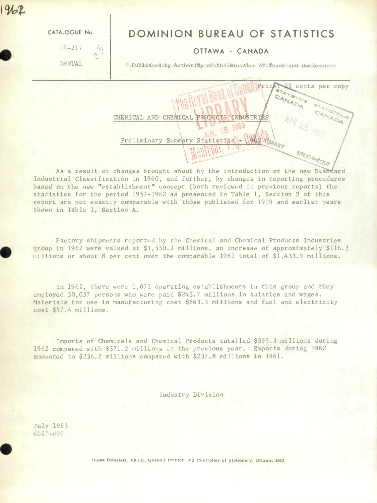**S** 2

 $46 - 217$  $n_{\Omega}$  $\wedge$ .

## *CATALOGUE No.* **DOMINION BUREAU OF STATISTICS**

## OTTAWA - CANADA

ANNUAL Published by Authority of the Minister of Trade and Commerce.

- Panal Price

cents per copy

CHEMICAL AND CHEMICAL PRODUCTS INDUSTRIES<br>
Preliminary Summary Statistics. - UNALLY Reader<br>
Changes brought about by the introduction of the new Standard<br>
tion in 1960, and further, by changes in reporting procedures<br>
abli Preliminary Summary Statistics\\-\1962\A

As a result of changes brought about by the introduction of the new Standard Industrial Classification in 1960, and further, by changes in reporting procedures based on the new "establishment" concept (both reviewed in previous reports) the statistics for the period 1957-1962 as presented in Table 1, Section B of this report are not exactly comparable with those published for 19 9 and earlier years shown in Table 1, Section A.

Factory shipments reported by the Chemical and Chemical Products Industries eroup in 1962 were valued at \$1,550.2 millions, an increase of approximately \$116.3 :illions or about 8 per cent over the comparable 1961 total of \$1,433.9 millions.

In 1962, there were 1,071 operating establishments in this group and they employed 50,057 persons who were paid \$243.7 millions in salaries and wages. Materials for use in manufacturing cost \$663.3 millions and fuel and electricity cost \$57.4 millions.

Imports of Chemicals and Chemical Products totalled \$395.3 millions during 1962 compared with \$371.2 millions in the previous year. Exports during 1962 amounted to \$236.2 millions compared with \$237.8 millions in 1961.

Industry Division

July 1963<br>6527-699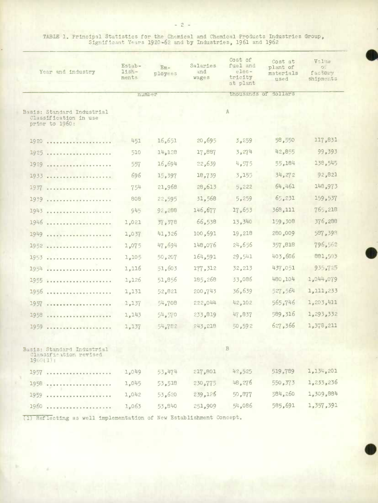TABLE 1. Principal Statistics for the Chemical and Chemical Products Industries Group,<br>Significant Years 1920-62 and by Industries, 1961 and 1962

| Year and industry                                                     | Estab-<br>$11$ sh-<br>ments | $Em -$<br>ployees | Salaries<br>and<br>wages | Cost of<br>fuel and<br>$e$ lec-<br>tricity<br>at plant | Cost at<br>plant of<br>materials<br>used | Value<br>$O$ :<br>factury<br>shipments |
|-----------------------------------------------------------------------|-----------------------------|-------------------|--------------------------|--------------------------------------------------------|------------------------------------------|----------------------------------------|
|                                                                       | number                      |                   |                          |                                                        | thousands of dollars                     |                                        |
| Basis: Standard Industrial<br>Classification in use<br>prior to 1960: |                             |                   |                          | A                                                      |                                          |                                        |
| 1920                                                                  | 451                         | 16,651            | 20,695                   | 3,259                                                  | 58,550                                   | 117,831                                |
| 1925<br><b><i><u><u>AAAAAAAAAAAA</u>A</u></i></b>                     | 510                         | 14,128            | 17,887                   | 3,274                                                  | 42,855                                   | 99,393                                 |
| 1929                                                                  | 557                         | 16,694            | 22,639                   | 4,575                                                  | 55,184                                   | 138,545                                |
| 1933                                                                  | 696                         | 15,397            | 18,739                   | 3,155                                                  | 34,272                                   | 92,821                                 |
| 1937                                                                  | 754                         | 21,968            | 28,613                   | 5,222                                                  | 64,461                                   | 148,973                                |
| 1939                                                                  | 808                         | 22,595            | 31,568                   | 5,259                                                  | 65,231                                   | 159,537                                |
| 1943                                                                  | 945                         | 92,288            | 146,677                  | 17,653                                                 | 368,111                                  | 765,218                                |
| 1946<br>                                                              | 1,021                       | 37,378            | 66,538                   | 13,340                                                 | 159,308                                  | 376,288                                |
| 1949                                                                  | 1,037                       | 41,326            | 100,691                  | 19,218                                                 | 280,009                                  | 587,398                                |
| $1952$                                                                | 1,075                       | 47,694            | 148,076                  | 24,656                                                 | 357,818                                  | 796,562                                |
| 1953                                                                  | 1,105                       | 50,207            | 164,591                  | 29,541                                                 | 403,686                                  | 881,503                                |
| 1954<br>                                                              | 1,116                       | 51,603            | 177,312                  | 32,213                                                 | 437,051                                  | 935,727                                |
| 1955                                                                  | 1,126                       | 51,856            | 185,268                  | 33,086                                                 | 480,104                                  | 1,044,079                              |
| 1956<br>$-0.0 - 0.0$                                                  | 1,131                       | 52,821            | 200,743                  | 36,639                                                 | 527,564                                  | 1,111,233                              |
| 1957                                                                  | 1,137                       | 54,708            | 222,044                  | 42,102                                                 | 565,746                                  | 1,203,411                              |
| 1958<br><b></b>                                                       | 1,143                       | 54.570            | 233,819                  | 47,837                                                 | 589,316                                  | 1,293,332                              |
| 1959                                                                  | 1,137                       | 54,782            | 243,218                  | 50,592                                                 | 627,366                                  | 1,378,211                              |
| Basis: Standard Industrial<br>Classification revised<br>19(0.1):      |                             |                   |                          | В                                                      |                                          |                                        |
| 1957                                                                  | 1,049                       | 53,474            | 217,801                  | 42,525                                                 | 519,789                                  | 1,134,201                              |
| 1958<br>$\alpha \cdot \alpha \cdot \alpha$                            | 1,045                       | 53,518            | 230,775                  | 48,276                                                 | 550,373                                  | 1,233,236                              |
| 1959<br>                                                              | 1,042                       | 53,620            | 239,126                  | 50,877                                                 | 584,260                                  | 1,309,884                              |
| 1960                                                                  | 1,063                       | 53,840            | 251,909                  | 54,086                                                 | 585,691                                  | 1,357,391                              |

(1) Reflecting as well implementation of New Establishment Concept.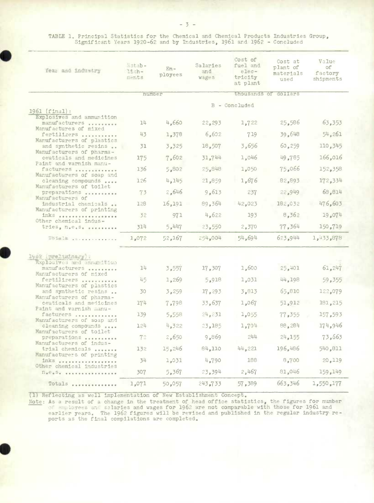TABLE 1. Principal Statistics for the Chemical and Chemical Products Industries Group,<br>Significant Years 1920-62 and by Industries, 1961 and 1962 - Concluded

| Year and industry                                                                                                                                                                                                                         | Estab-<br>$11$ sh-<br>ments | $Em -$<br>ployees | Salaries<br>and<br>wages | Cost of<br>fuel and<br>$e$ lec-<br>tricity<br>at plant | Cost at<br>plant of<br>materials<br>used | Value<br>оf<br>factory<br>shipments |
|-------------------------------------------------------------------------------------------------------------------------------------------------------------------------------------------------------------------------------------------|-----------------------------|-------------------|--------------------------|--------------------------------------------------------|------------------------------------------|-------------------------------------|
|                                                                                                                                                                                                                                           |                             | number            |                          |                                                        | thousands of dollars                     |                                     |
| $1961$ (final):                                                                                                                                                                                                                           |                             |                   |                          | B - Concluded                                          |                                          |                                     |
| Explosives and ammunition<br>manufacturers<br>Manufactures of mixed                                                                                                                                                                       | 14                          | 4,660             | 22, 293                  | 1,722                                                  | 25,586                                   | 63,353                              |
| fertilizers<br>Manufacturers of plastics                                                                                                                                                                                                  | 43                          | 1,378             | 6,602                    | 719                                                    | 39.648                                   | 54,261                              |
| and synthetic resins<br>Manufacturers of pharma-                                                                                                                                                                                          | 31                          | 3,325             | 18,507                   | 3,656                                                  | 60, 259                                  | 110,345                             |
| ceuticals and medicines<br>Paint and varnish manu-                                                                                                                                                                                        | 175                         | 7,602             | 31,744                   | 1,046                                                  | 49,785                                   | 166,016                             |
| facturers                                                                                                                                                                                                                                 | 136                         | 5,802             | 25,848                   | 1,050                                                  | 75,066                                   | 152,358                             |
| Manufacturers of soap and<br>cleaning compounds                                                                                                                                                                                           | 126                         | 4,145             | 21,859                   | 1,676                                                  | 82,893                                   | 172,334                             |
| Manufacturers of toilet<br>preparations                                                                                                                                                                                                   | 73                          | 2,646             | 9,613                    | 237                                                    | 22,949                                   | 68,814                              |
| Manufacturers of<br>industrial chemicals                                                                                                                                                                                                  | 128                         | 16,191            | 89,364                   | 42,023                                                 | 182,032                                  | 476,603                             |
| Manufacturers of printing<br>inks                                                                                                                                                                                                         | 32                          | 971               | 4,622                    | 193                                                    | 8,362                                    | 19,074                              |
| Other chemical indus-<br>tries, n.e.s.                                                                                                                                                                                                    | 314                         | 5,447             | 23,550                   | 2,370                                                  | 77,364                                   | 150,719                             |
| $T_{Q}$ . $T_{\alpha}$ $\geq$ $T_{\alpha}$ . The company of the company of the company of the company of the company of the company of the company of the company of the company of the company of the company of the company of the comp | 1,072                       | 52,167            | 254,004                  | 54,694                                                 | 623,944                                  | 1,433,878                           |
| 1962 (reeliminary) :                                                                                                                                                                                                                      |                             |                   |                          |                                                        |                                          |                                     |
| Explosives and ammunition<br>manufacturers<br>Manufacturers of mixed                                                                                                                                                                      | 14                          | 3,557             | 17,307                   | 1,600                                                  | 25,401                                   | 61,247                              |
| fertilizers<br>Manufacturers of plastics                                                                                                                                                                                                  | 45                          | 1,269             | 5,918                    | 1,031                                                  | 44,198                                   | 59,355                              |
| and synthetic resins                                                                                                                                                                                                                      | 30                          | 3,259             | 17,293                   | 3,813                                                  | 65,810                                   | 122,079                             |
| Manufacturers of pharma-<br>ceuticals and medicines<br>Paint and varnish manu-                                                                                                                                                            | 174                         | 7,798             | 33,637                   | 1,067                                                  | 51,912                                   | 181,215                             |
| facturers                                                                                                                                                                                                                                 | 139                         | 5,558             | 24,231                   | 1,055                                                  | 77,355                                   | 157,593                             |
| Manufacturers of soap and<br>cleaning compounds                                                                                                                                                                                           | 124                         | 4,322             | 23,185                   | 1,704                                                  | 88,284                                   | 174,946                             |
| Manufacturers of toilet<br>preparations                                                                                                                                                                                                   | 72                          | 2,650             | 9,869                    | 244                                                    | 24,155                                   | 73,663                              |
| Manufacturers of indus-<br>trial chemicals                                                                                                                                                                                                | 132                         | 15,246            | 64,110                   | 44,221                                                 | 196,486                                  | 540,811                             |
| Manufacturers of printing<br>inks                                                                                                                                                                                                         | 34                          | 1,031             | 4,790                    | 188                                                    | 8,700                                    | 20,119                              |
| Other chemical industries<br>$n_e e_e s_e$                                                                                                                                                                                                | 307                         | 5,367             | 23,394                   | 2,467                                                  | 81,046                                   | 159, 149                            |
| Totals                                                                                                                                                                                                                                    | 1,071                       | 50,057            | 243,733                  | 57,389                                                 | 663,346                                  | 1,550,177                           |

(1) Reflecting as well implementation of New Establishment Concept.

Note: As a result of a change in the treatment of head office statistics, the figures for number<br>of exployees and salaries and wages for 1962 are not comparable with those for 1961 and<br>earlier years. The 1962 figures will